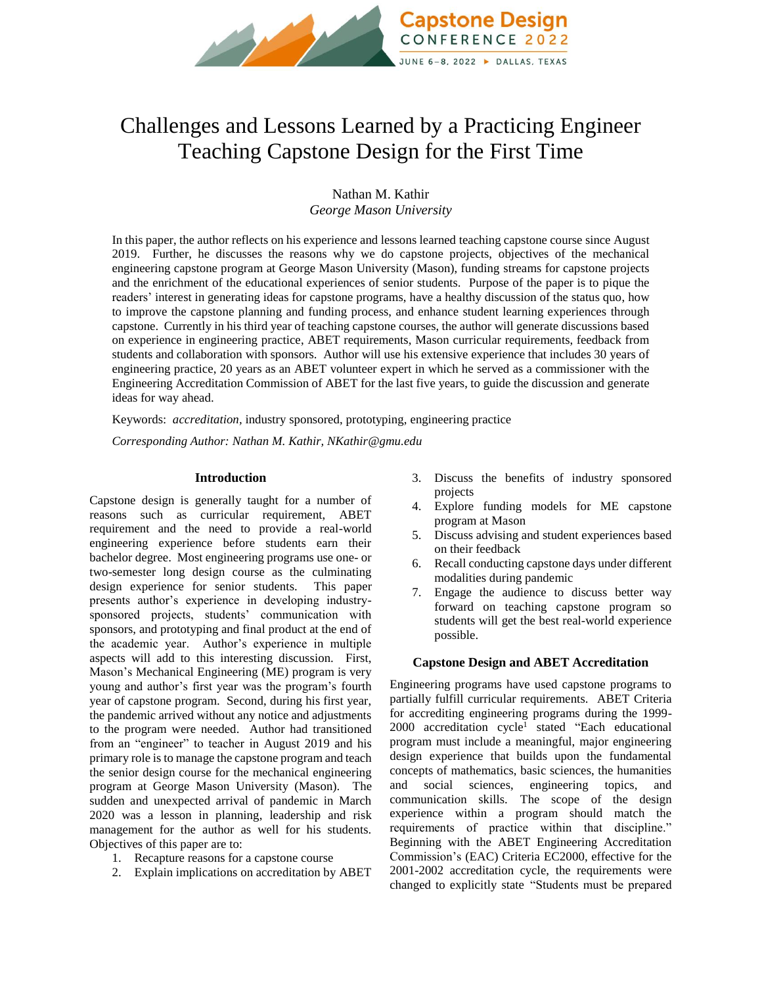

# Challenges and Lessons Learned by a Practicing Engineer Teaching Capstone Design for the First Time

Nathan M. Kathir *George Mason University*

In this paper, the author reflects on his experience and lessons learned teaching capstone course since August 2019. Further, he discusses the reasons why we do capstone projects, objectives of the mechanical engineering capstone program at George Mason University (Mason), funding streams for capstone projects and the enrichment of the educational experiences of senior students. Purpose of the paper is to pique the readers' interest in generating ideas for capstone programs, have a healthy discussion of the status quo, how to improve the capstone planning and funding process, and enhance student learning experiences through capstone. Currently in his third year of teaching capstone courses, the author will generate discussions based on experience in engineering practice, ABET requirements, Mason curricular requirements, feedback from students and collaboration with sponsors. Author will use his extensive experience that includes 30 years of engineering practice, 20 years as an ABET volunteer expert in which he served as a commissioner with the Engineering Accreditation Commission of ABET for the last five years, to guide the discussion and generate ideas for way ahead.

Keywords: *accreditation,* industry sponsored, prototyping, engineering practice

*Corresponding Author: Nathan M. Kathir, NKathir@gmu.edu*

#### **Introduction**

Capstone design is generally taught for a number of reasons such as curricular requirement, ABET requirement and the need to provide a real-world engineering experience before students earn their bachelor degree. Most engineering programs use one- or two-semester long design course as the culminating design experience for senior students. This paper presents author's experience in developing industrysponsored projects, students' communication with sponsors, and prototyping and final product at the end of the academic year. Author's experience in multiple aspects will add to this interesting discussion. First, Mason's Mechanical Engineering (ME) program is very young and author's first year was the program's fourth year of capstone program. Second, during his first year, the pandemic arrived without any notice and adjustments to the program were needed. Author had transitioned from an "engineer" to teacher in August 2019 and his primary role is to manage the capstone program and teach the senior design course for the mechanical engineering program at George Mason University (Mason). The sudden and unexpected arrival of pandemic in March 2020 was a lesson in planning, leadership and risk management for the author as well for his students. Objectives of this paper are to:

- 1. Recapture reasons for a capstone course
- 2. Explain implications on accreditation by ABET
- 3. Discuss the benefits of industry sponsored projects
- 4. Explore funding models for ME capstone program at Mason
- 5. Discuss advising and student experiences based on their feedback
- 6. Recall conducting capstone days under different modalities during pandemic
- 7. Engage the audience to discuss better way forward on teaching capstone program so students will get the best real-world experience possible.

## **Capstone Design and ABET Accreditation**

Engineering programs have used capstone programs to partially fulfill curricular requirements. ABET Criteria for accrediting engineering programs during the 1999- 2000 accreditation cycle<sup>1</sup> stated "Each educational program must include a meaningful, major engineering design experience that builds upon the fundamental concepts of mathematics, basic sciences, the humanities and social sciences, engineering topics, and communication skills. The scope of the design experience within a program should match the requirements of practice within that discipline." Beginning with the ABET Engineering Accreditation Commission's (EAC) Criteria EC2000, effective for the 2001-2002 accreditation cycle, the requirements were changed to explicitly state "Students must be prepared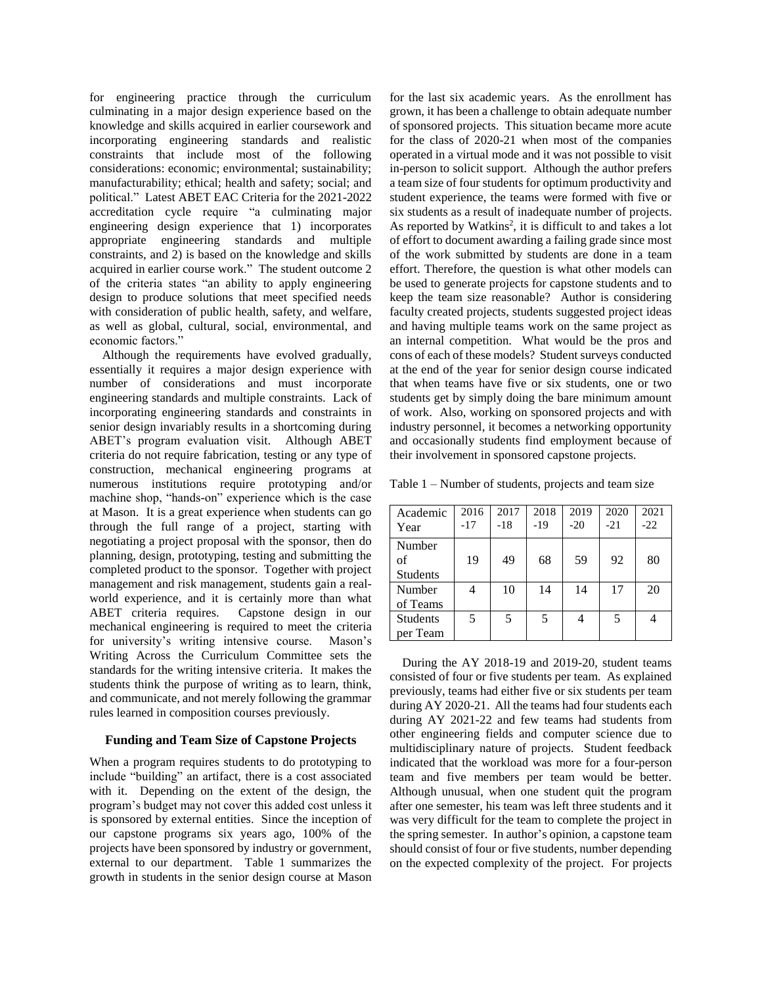for engineering practice through the curriculum culminating in a major design experience based on the knowledge and skills acquired in earlier coursework and incorporating engineering standards and realistic constraints that include most of the following considerations: economic; environmental; sustainability; manufacturability; ethical; health and safety; social; and political." Latest ABET EAC Criteria for the 2021-2022 accreditation cycle require "a culminating major engineering design experience that 1) incorporates appropriate engineering standards and multiple constraints, and 2) is based on the knowledge and skills acquired in earlier course work." The student outcome 2 of the criteria states "an ability to apply engineering design to produce solutions that meet specified needs with consideration of public health, safety, and welfare, as well as global, cultural, social, environmental, and economic factors."

 Although the requirements have evolved gradually, essentially it requires a major design experience with number of considerations and must incorporate engineering standards and multiple constraints. Lack of incorporating engineering standards and constraints in senior design invariably results in a shortcoming during ABET's program evaluation visit. Although ABET criteria do not require fabrication, testing or any type of construction, mechanical engineering programs at numerous institutions require prototyping and/or machine shop, "hands-on" experience which is the case at Mason. It is a great experience when students can go through the full range of a project, starting with negotiating a project proposal with the sponsor, then do planning, design, prototyping, testing and submitting the completed product to the sponsor. Together with project management and risk management, students gain a realworld experience, and it is certainly more than what ABET criteria requires. Capstone design in our mechanical engineering is required to meet the criteria for university's writing intensive course. Mason's Writing Across the Curriculum Committee sets the standards for the writing intensive criteria. It makes the students think the purpose of writing as to learn, think, and communicate, and not merely following the grammar rules learned in composition courses previously.

## **Funding and Team Size of Capstone Projects**

When a program requires students to do prototyping to include "building" an artifact, there is a cost associated with it. Depending on the extent of the design, the program's budget may not cover this added cost unless it is sponsored by external entities. Since the inception of our capstone programs six years ago, 100% of the projects have been sponsored by industry or government, external to our department. Table 1 summarizes the growth in students in the senior design course at Mason

for the last six academic years. As the enrollment has grown, it has been a challenge to obtain adequate number of sponsored projects. This situation became more acute for the class of 2020-21 when most of the companies operated in a virtual mode and it was not possible to visit in-person to solicit support. Although the author prefers a team size of four students for optimum productivity and student experience, the teams were formed with five or six students as a result of inadequate number of projects. As reported by Watkins<sup>2</sup>, it is difficult to and takes a lot of effort to document awarding a failing grade since most of the work submitted by students are done in a team effort. Therefore, the question is what other models can be used to generate projects for capstone students and to keep the team size reasonable? Author is considering faculty created projects, students suggested project ideas and having multiple teams work on the same project as an internal competition. What would be the pros and cons of each of these models? Student surveys conducted at the end of the year for senior design course indicated that when teams have five or six students, one or two students get by simply doing the bare minimum amount of work. Also, working on sponsored projects and with industry personnel, it becomes a networking opportunity and occasionally students find employment because of their involvement in sponsored capstone projects.

Table 1 – Number of students, projects and team size

| Academic<br>Year                | 2016<br>$-17$ | 2017<br>$-18$ | 2018<br>$-19$ | 2019<br>$-20$ | 2020<br>$-21$ | 2021<br>$-22$ |
|---------------------------------|---------------|---------------|---------------|---------------|---------------|---------------|
| Number<br>of<br><b>Students</b> | 19            | 49            | 68            | 59            | 92            | 80            |
| Number<br>of Teams              |               | 10            | 14            | 14            | 17            | 20            |
| <b>Students</b><br>per Team     | 5             | .5            | 5             | 4             | 5             |               |

 During the AY 2018-19 and 2019-20, student teams consisted of four or five students per team. As explained previously, teams had either five or six students per team during AY 2020-21. All the teams had four students each during AY 2021-22 and few teams had students from other engineering fields and computer science due to multidisciplinary nature of projects. Student feedback indicated that the workload was more for a four-person team and five members per team would be better. Although unusual, when one student quit the program after one semester, his team was left three students and it was very difficult for the team to complete the project in the spring semester. In author's opinion, a capstone team should consist of four or five students, number depending on the expected complexity of the project. For projects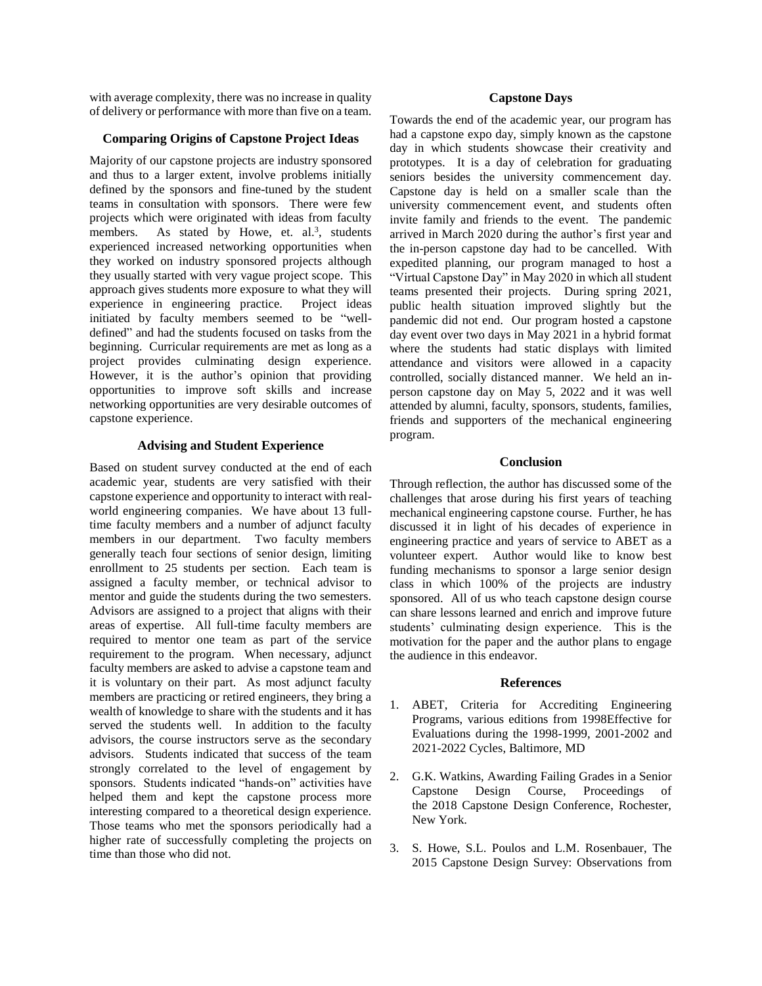with average complexity, there was no increase in quality of delivery or performance with more than five on a team.

## **Comparing Origins of Capstone Project Ideas**

Majority of our capstone projects are industry sponsored and thus to a larger extent, involve problems initially defined by the sponsors and fine-tuned by the student teams in consultation with sponsors. There were few projects which were originated with ideas from faculty members. As stated by Howe, et. al.<sup>3</sup>, students experienced increased networking opportunities when they worked on industry sponsored projects although they usually started with very vague project scope. This approach gives students more exposure to what they will experience in engineering practice. Project ideas initiated by faculty members seemed to be "welldefined" and had the students focused on tasks from the beginning. Curricular requirements are met as long as a project provides culminating design experience. However, it is the author's opinion that providing opportunities to improve soft skills and increase networking opportunities are very desirable outcomes of capstone experience.

## **Advising and Student Experience**

Based on student survey conducted at the end of each academic year, students are very satisfied with their capstone experience and opportunity to interact with realworld engineering companies. We have about 13 fulltime faculty members and a number of adjunct faculty members in our department. Two faculty members generally teach four sections of senior design, limiting enrollment to 25 students per section. Each team is assigned a faculty member, or technical advisor to mentor and guide the students during the two semesters. Advisors are assigned to a project that aligns with their areas of expertise. All full-time faculty members are required to mentor one team as part of the service requirement to the program. When necessary, adjunct faculty members are asked to advise a capstone team and it is voluntary on their part. As most adjunct faculty members are practicing or retired engineers, they bring a wealth of knowledge to share with the students and it has served the students well. In addition to the faculty advisors, the course instructors serve as the secondary advisors. Students indicated that success of the team strongly correlated to the level of engagement by sponsors. Students indicated "hands-on" activities have helped them and kept the capstone process more interesting compared to a theoretical design experience. Those teams who met the sponsors periodically had a higher rate of successfully completing the projects on time than those who did not.

## **Capstone Days**

Towards the end of the academic year, our program has had a capstone expo day, simply known as the capstone day in which students showcase their creativity and prototypes. It is a day of celebration for graduating seniors besides the university commencement day. Capstone day is held on a smaller scale than the university commencement event, and students often invite family and friends to the event. The pandemic arrived in March 2020 during the author's first year and the in-person capstone day had to be cancelled. With expedited planning, our program managed to host a "Virtual Capstone Day" in May 2020 in which all student teams presented their projects. During spring 2021, public health situation improved slightly but the pandemic did not end. Our program hosted a capstone day event over two days in May 2021 in a hybrid format where the students had static displays with limited attendance and visitors were allowed in a capacity controlled, socially distanced manner. We held an inperson capstone day on May 5, 2022 and it was well attended by alumni, faculty, sponsors, students, families, friends and supporters of the mechanical engineering program.

## **Conclusion**

Through reflection, the author has discussed some of the challenges that arose during his first years of teaching mechanical engineering capstone course. Further, he has discussed it in light of his decades of experience in engineering practice and years of service to ABET as a volunteer expert. Author would like to know best funding mechanisms to sponsor a large senior design class in which 100% of the projects are industry sponsored. All of us who teach capstone design course can share lessons learned and enrich and improve future students' culminating design experience. This is the motivation for the paper and the author plans to engage the audience in this endeavor.

## **References**

- 1. ABET, Criteria for Accrediting Engineering Programs, various editions from 1998Effective for Evaluations during the 1998-1999, 2001-2002 and 2021-2022 Cycles, Baltimore, MD
- 2. G.K. Watkins, Awarding Failing Grades in a Senior Capstone Design Course, Proceedings of the 2018 Capstone Design Conference, Rochester, New York.
- 3. S. Howe, S.L. Poulos and L.M. Rosenbauer, The 2015 Capstone Design Survey: Observations from